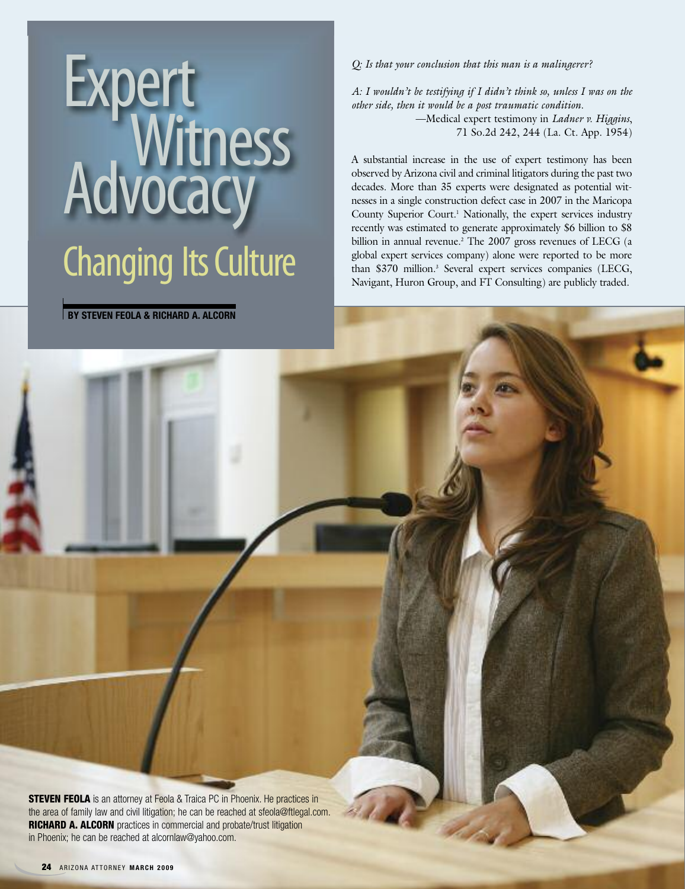# Expert Witness<br>Advocacy Changing Its Culture

**BY STEVEN FEOLA & RICHARD A. ALCORN**

*Q: Is that your conclusion that this man is a malingerer?*

*A: I wouldn't be testifying if I didn't think so, unless I was on the other side, then it would be a post traumatic condition.* —Medical expert testimony in *Ladner v. Higgins*, 71 So.2d 242, 244 (La. Ct. App. 1954)

A substantial increase in the use of expert testimony has been observed by Arizona civil and criminal litigators during the past two decades. More than 35 experts were designated as potential witnesses in a single construction defect case in 2007 in the Maricopa County Superior Court. <sup>1</sup> Nationally, the expert services industry recently was estimated to generate approximately \$6 billion to \$8 billion in annual revenue. <sup>2</sup> The 2007 gross revenues of LECG (a global expert services company) alone were reported to be more than \$370 million. <sup>3</sup> Several expert services companies (LECG, Navigant, Huron Group, and FT Consulting) are publicly traded.

**STEVEN FEOLA** is an attorney at Feola & Traica PC in Phoenix. He practices in the area of family law and civil litigation; he can be reached at sfeola@ftlegal.com. **RICHARD A. ALCORN** practices in commercial and probate/trust litigation in Phoenix; he can be reached at alcornlaw@yahoo.com.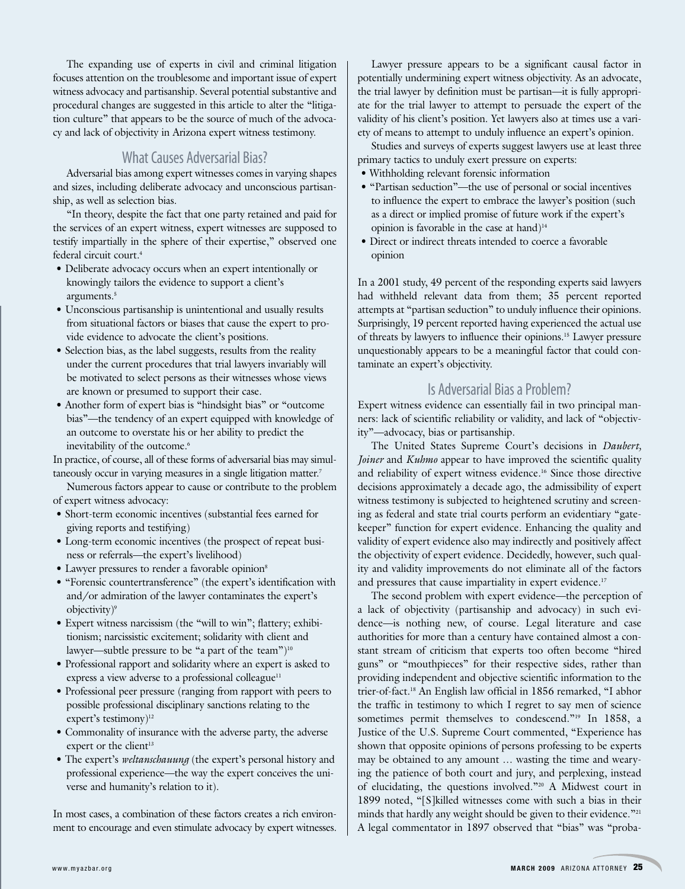The expanding use of experts in civil and criminal litigation focuses attention on the troublesome and important issue of expert witness advocacy and partisanship. Several potential substantive and procedural changes are suggested in this article to alter the "litigation culture" that appears to be the source of much of the advocacy and lack of objectivity in Arizona expert witness testimony.

# What Causes Adversarial Bias?

Adversarial bias among expert witnesses comes in varying shapes and sizes, including deliberate advocacy and unconscious partisanship, as well as selection bias.

"In theory, despite the fact that one party retained and paid for the services of an expert witness, expert witnesses are supposed to testify impartially in the sphere of their expertise," observed one federal circuit court. 4

- Deliberate advocacy occurs when an expert intentionally or knowingly tailors the evidence to support a client's arguments. 5
- Unconscious partisanship is unintentional and usually results from situational factors or biases that cause the expert to provide evidence to advocate the client's positions.
- Selection bias, as the label suggests, results from the reality under the current procedures that trial lawyers invariably will be motivated to select persons as their witnesses whose views are known or presumed to support their case.
- Another form of expert bias is "hindsight bias" or "outcome bias"—the tendency of an expert equipped with knowledge of an outcome to overstate his or her ability to predict the inevitability of the outcome. 6

In practice, of course, all of these forms of adversarial bias may simultaneously occur in varying measures in a single litigation matter. 7

Numerous factors appear to cause or contribute to the problem of expert witness advocacy:

- Short-term economic incentives (substantial fees earned for giving reports and testifying)
- Long-term economic incentives (the prospect of repeat business or referrals—the expert's livelihood)
- Lawyer pressures to render a favorable opinion<sup>8</sup>
- "Forensic countertransference" (the expert's identification with and/or admiration of the lawyer contaminates the expert's objectivity)<sup>9</sup>
- Expert witness narcissism (the "will to win"; flattery; exhibitionism; narcissistic excitement; solidarity with client and lawyer—subtle pressure to be "a part of the team")<sup>10</sup>
- Professional rapport and solidarity where an expert is asked to express a view adverse to a professional colleague<sup>11</sup>
- Professional peer pressure (ranging from rapport with peers to possible professional disciplinary sanctions relating to the expert's testimony)<sup>12</sup>
- Commonality of insurance with the adverse party, the adverse expert or the client<sup>13</sup>
- The expert's *weltanschauung* (the expert's personal history and professional experience—the way the expert conceives the universe and humanity's relation to it).

In most cases, a combination of these factors creates a rich environment to encourage and even stimulate advocacy by expert witnesses.

Lawyer pressure appears to be a significant causal factor in potentially undermining expert witness objectivity. As an advocate, the trial lawyer by definition must be partisan—it is fully appropriate for the trial lawyer to attempt to persuade the expert of the validity of his client's position. Yet lawyers also at times use a variety of means to attempt to unduly influence an expert's opinion.

Studies and surveys of experts suggest lawyers use at least three primary tactics to unduly exert pressure on experts:

- Withholding relevant forensic information
- "Partisan seduction"—the use of personal or social incentives to influence the expert to embrace the lawyer's position (such as a direct or implied promise of future work if the expert's opinion is favorable in the case at hand) $14$
- Direct or indirect threats intended to coerce a favorable opinion

In a 2001 study, 49 percent of the responding experts said lawyers had withheld relevant data from them; 35 percent reported attempts at "partisan seduction" to unduly influence their opinions. Surprisingly, 19 percent reported having experienced the actual use of threats by lawyers to influence their opinions. <sup>15</sup> Lawyer pressure unquestionably appears to be a meaningful factor that could contaminate an expert's objectivity.

# Is Adversarial Bias a Problem?

Expert witness evidence can essentially fail in two principal manners: lack of scientific reliability or validity, and lack of "objectivity"—advocacy, bias or partisanship.

The United States Supreme Court's decisions in *Daubert, Joiner* and *Kuhmo* appear to have improved the scientific quality and reliability of expert witness evidence. <sup>16</sup> Since those directive decisions approximately a decade ago, the admissibility of expert witness testimony is subjected to heightened scrutiny and screening as federal and state trial courts perform an evidentiary "gatekeeper" function for expert evidence. Enhancing the quality and validity of expert evidence also may indirectly and positively affect the objectivity of expert evidence. Decidedly, however, such quality and validity improvements do not eliminate all of the factors and pressures that cause impartiality in expert evidence. 17

The second problem with expert evidence—the perception of a lack of objectivity (partisanship and advocacy) in such evidence—is nothing new, of course. Legal literature and case authorities for more than a century have contained almost a constant stream of criticism that experts too often become "hired guns" or "mouthpieces" for their respective sides, rather than providing independent and objective scientific information to the trier-of-fact. <sup>18</sup> An English law official in 1856 remarked, "I abhor the traffic in testimony to which I regret to say men of science sometimes permit themselves to condescend."<sup>19</sup> In 1858, a Justice of the U.S. Supreme Court commented, "Experience has shown that opposite opinions of persons professing to be experts may be obtained to any amount … wasting the time and wearying the patience of both court and jury, and perplexing, instead of elucidating, the questions involved."20 A Midwest court in 1899 noted, "[S]killed witnesses come with such a bias in their minds that hardly any weight should be given to their evidence."<sup>21</sup> A legal commentator in 1897 observed that "bias" was "proba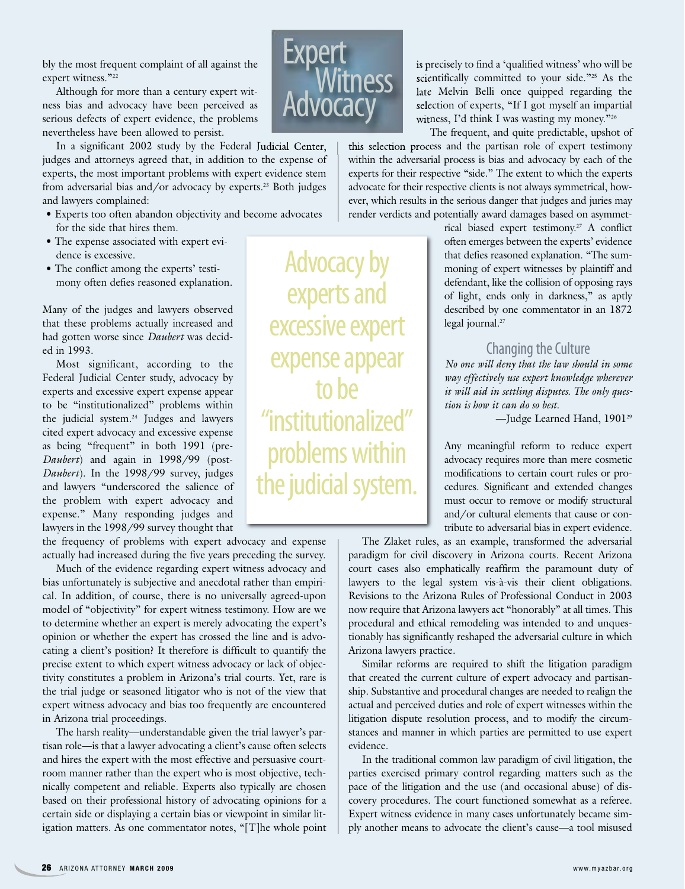bly the most frequent complaint of all against the expert witness."<sup>22</sup>

Although for more than a century expert witness bias and advocacy have been perceived as serious defects of expert evidence, the problems nevertheless have been allowed to persist.

In a significant 2002 study by the Federal Judicial Center, judges and attorneys agreed that, in addition to the expense of experts, the most important problems with expert evidence stem from adversarial bias and/or advocacy by experts. <sup>23</sup> Both judges and lawyers complained:

- Experts too often abandon objectivity and become advocates for the side that hires them.
- The expense associated with expert evidence is excessive.
- The conflict among the experts' testimony often defies reasoned explanation.

Many of the judges and lawyers observed that these problems actually increased and had gotten worse since *Daubert* was decided in 1993.

Most significant, according to the Federal Judicial Center study, advocacy by experts and excessive expert expense appear to be "institutionalized" problems within the judicial system. <sup>24</sup> Judges and lawyers cited expert advocacy and excessive expense as being "frequent" in both 1991 (pre-*Daubert*) and again in 1998/99 (post-*Daubert*). In the 1998/99 survey, judges and lawyers "underscored the salience of the problem with expert advocacy and expense." Many responding judges and lawyers in the 1998/99 survey thought that

the frequency of problems with expert advocacy and expense actually had increased during the five years preceding the survey.

Much of the evidence regarding expert witness advocacy and bias unfortunately is subjective and anecdotal rather than empirical. In addition, of course, there is no universally agreed-upon model of "objectivity" for expert witness testimony. How are we to determine whether an expert is merely advocating the expert's opinion or whether the expert has crossed the line and is advocating a client's position? It therefore is difficult to quantify the precise extent to which expert witness advocacy or lack of objectivity constitutes a problem in Arizona's trial courts. Yet, rare is the trial judge or seasoned litigator who is not of the view that expert witness advocacy and bias too frequently are encountered in Arizona trial proceedings.

The harsh reality—understandable given the trial lawyer's partisan role—is that a lawyer advocating a client's cause often selects and hires the expert with the most effective and persuasive courtroom manner rather than the expert who is most objective, technically competent and reliable. Experts also typically are chosen based on their professional history of advocating opinions for a certain side or displaying a certain bias or viewpoint in similar litigation matters. As one commentator notes, "[T]he whole point



Advocacy by

experts and

excessive expert

expense appear

to he

"institutionalized"

is precisely to find a 'qualified witness' who will be scientifically committed to your side."<sup>25</sup> As the late Melvin Belli once quipped regarding the selection of experts, "If I got myself an impartial witness, I'd think I was wasting my money."26

The frequent, and quite predictable, upshot of this selection process and the partisan role of expert testimony within the adversarial process is bias and advocacy by each of the experts for their respective "side." The extent to which the experts advocate for their respective clients is not always symmetrical, however, which results in the serious danger that judges and juries may render verdicts and potentially award damages based on asymmet-

> rical biased expert testimony. <sup>27</sup> A conflict often emerges between the experts' evidence that defies reasoned explanation. "The summoning of expert witnesses by plaintiff and defendant, like the collision of opposing rays of light, ends only in darkness," as aptly described by one commentator in an 1872 legal journal. 27

## Changing the Culture

*No one will deny that the law should in some way effectively use expert knowledge wherever it will aid in settling disputes. The only question is how it can do so best.*

—Judge Learned Hand, 190129

Any meaningful reform to reduce expert advocacy requires more than mere cosmetic modifications to certain court rules or procedures. Significant and extended changes must occur to remove or modify structural and/or cultural elements that cause or contribute to adversarial bias in expert evidence.

The Zlaket rules, as an example, transformed the adversarial paradigm for civil discovery in Arizona courts. Recent Arizona court cases also emphatically reaffirm the paramount duty of lawyers to the legal system vis-à-vis their client obligations. Revisions to the Arizona Rules of Professional Conduct in 2003 now require that Arizona lawyers act "honorably" at all times. This procedural and ethical remodeling was intended to and unquestionably has significantly reshaped the adversarial culture in which Arizona lawyers practice.

Similar reforms are required to shift the litigation paradigm that created the current culture of expert advocacy and partisanship. Substantive and procedural changes are needed to realign the actual and perceived duties and role of expert witnesses within the litigation dispute resolution process, and to modify the circumstances and manner in which parties are permitted to use expert evidence.

In the traditional common law paradigm of civil litigation, the parties exercised primary control regarding matters such as the pace of the litigation and the use (and occasional abuse) of discovery procedures. The court functioned somewhat as a referee. Expert witness evidence in many cases unfortunately became simply another means to advocate the client's cause—a tool misused

problems within the judicial system.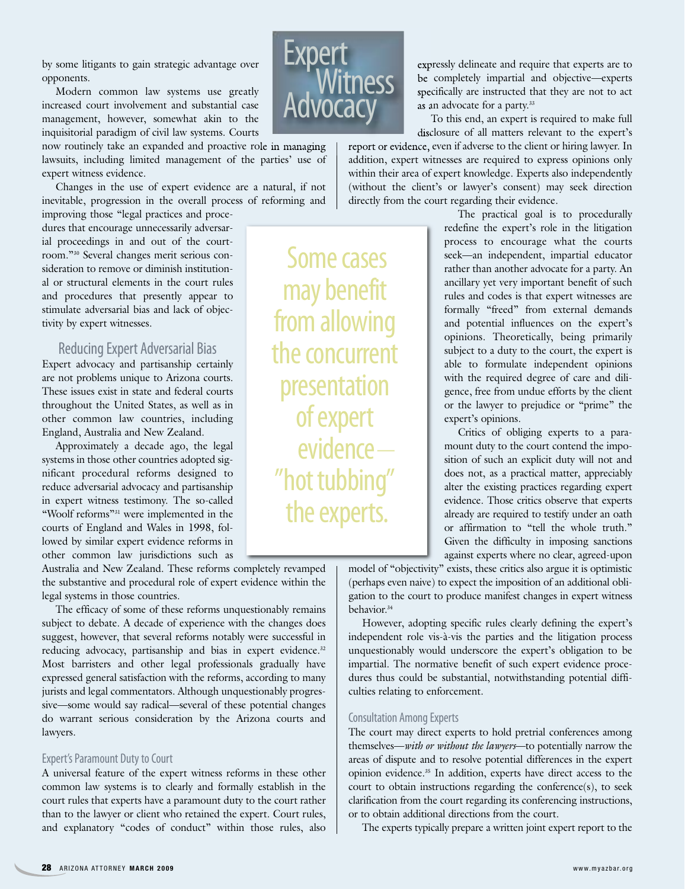by some litigants to gain strategic advantage over opponents.

Modern common law systems use greatly increased court involvement and substantial case management, however, somewhat akin to the inquisitorial paradigm of civil law systems. Courts

now routinely take an expanded and proactive role in managing lawsuits, including limited management of the parties' use of expert witness evidence.

Changes in the use of expert evidence are a natural, if not inevitable, progression in the overall process of reforming and

improving those "legal practices and procedures that encourage unnecessarily adversarial proceedings in and out of the courtroom."30 Several changes merit serious consideration to remove or diminish institutional or structural elements in the court rules and procedures that presently appear to stimulate adversarial bias and lack of objectivity by expert witnesses.

# Reducing Expert Adversarial Bias

Expert advocacy and partisanship certainly are not problems unique to Arizona courts. These issues exist in state and federal courts throughout the United States, as well as in other common law countries, including England, Australia and New Zealand.

Approximately a decade ago, the legal systems in those other countries adopted significant procedural reforms designed to reduce adversarial advocacy and partisanship in expert witness testimony. The so-called "Woolf reforms"31 were implemented in the courts of England and Wales in 1998, followed by similar expert evidence reforms in other common law jurisdictions such as

Australia and New Zealand. These reforms completely revamped the substantive and procedural role of expert evidence within the legal systems in those countries.

The efficacy of some of these reforms unquestionably remains subject to debate. A decade of experience with the changes does suggest, however, that several reforms notably were successful in reducing advocacy, partisanship and bias in expert evidence.<sup>32</sup> Most barristers and other legal professionals gradually have expressed general satisfaction with the reforms, according to many jurists and legal commentators. Although unquestionably progressive—some would say radical—several of these potential changes do warrant serious consideration by the Arizona courts and lawyers.

#### Expert's Paramount Duty to Court

A universal feature of the expert witness reforms in these other common law systems is to clearly and formally establish in the court rules that experts have a paramount duty to the court rather than to the lawyer or client who retained the expert. Court rules, and explanatory "codes of conduct" within those rules, also



Some cases

may benefit

fromallowing

the concurrent

presentation

ofexpert

"hot tubbing"

the experts.

evidence—

expressly delineate and require that experts are to be completely impartial and objective—experts specifically are instructed that they are not to act as an advocate for a party.<sup>33</sup>

To this end, an expert is required to make full disclosure of all matters relevant to the expert's

report or evidence, even if adverse to the client or hiring lawyer. In addition, expert witnesses are required to express opinions only within their area of expert knowledge. Experts also independently (without the client's or lawyer's consent) may seek direction directly from the court regarding their evidence.

> The practical goal is to procedurally redefine the expert's role in the litigation process to encourage what the courts seek—an independent, impartial educator rather than another advocate for a party. An ancillary yet very important benefit of such rules and codes is that expert witnesses are formally "freed" from external demands and potential influences on the expert's opinions. Theoretically, being primarily subject to a duty to the court, the expert is able to formulate independent opinions with the required degree of care and diligence, free from undue efforts by the client or the lawyer to prejudice or "prime" the expert's opinions.

> Critics of obliging experts to a paramount duty to the court contend the imposition of such an explicit duty will not and does not, as a practical matter, appreciably alter the existing practices regarding expert evidence. Those critics observe that experts already are required to testify under an oath or affirmation to "tell the whole truth." Given the difficulty in imposing sanctions against experts where no clear, agreed-upon

model of "objectivity" exists, these critics also argue it is optimistic (perhaps even naive) to expect the imposition of an additional obligation to the court to produce manifest changes in expert witness behavior. 34

However, adopting specific rules clearly defining the expert's independent role vis-à-vis the parties and the litigation process unquestionably would underscore the expert's obligation to be impartial. The normative benefit of such expert evidence procedures thus could be substantial, notwithstanding potential difficulties relating to enforcement.

### **Consultation Among Experts**

The court may direct experts to hold pretrial conferences among themselves—*with or without the lawyers*—to potentially narrow the areas of dispute and to resolve potential differences in the expert opinion evidence. <sup>35</sup> In addition, experts have direct access to the court to obtain instructions regarding the conference(s), to seek clarification from the court regarding its conferencing instructions, or to obtain additional directions from the court.

The experts typically prepare a written joint expert report to the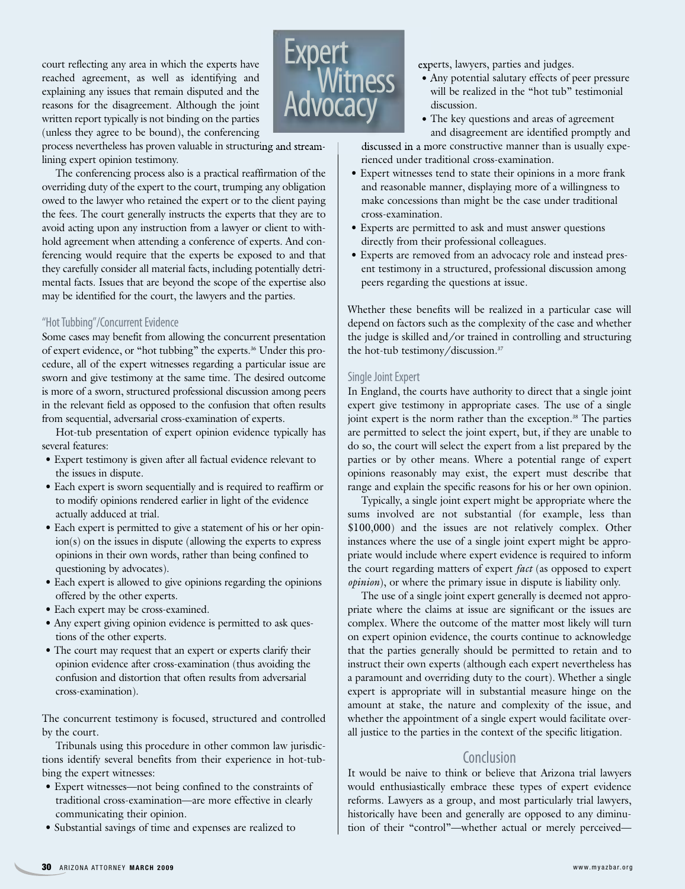court reflecting any area in which the experts have reached agreement, as well as identifying and explaining any issues that remain disputed and the reasons for the disagreement. Although the joint written report typically is not binding on the parties (unless they agree to be bound), the conferencing



process nevertheless has proven valuable in structuring and streamlining expert opinion testimony.

The conferencing process also is a practical reaffirmation of the overriding duty of the expert to the court, trumping any obligation owed to the lawyer who retained the expert or to the client paying the fees. The court generally instructs the experts that they are to avoid acting upon any instruction from a lawyer or client to withhold agreement when attending a conference of experts. And conferencing would require that the experts be exposed to and that they carefully consider all material facts, including potentially detrimental facts. Issues that are beyond the scope of the expertise also may be identified for the court, the lawyers and the parties.

#### "Hot Tubbing"/Concurrent Evidence

Some cases may benefit from allowing the concurrent presentation of expert evidence, or "hot tubbing" the experts. <sup>36</sup> Under this procedure, all of the expert witnesses regarding a particular issue are sworn and give testimony at the same time. The desired outcome is more of a sworn, structured professional discussion among peers in the relevant field as opposed to the confusion that often results from sequential, adversarial cross-examination of experts.

Hot-tub presentation of expert opinion evidence typically has several features:

- Expert testimony is given after all factual evidence relevant to the issues in dispute.
- Each expert is sworn sequentially and is required to reaffirm or to modify opinions rendered earlier in light of the evidence actually adduced at trial.
- Each expert is permitted to give a statement of his or her opinion(s) on the issues in dispute (allowing the experts to express opinions in their own words, rather than being confined to questioning by advocates).
- Each expert is allowed to give opinions regarding the opinions offered by the other experts.
- Each expert may be cross-examined.
- Any expert giving opinion evidence is permitted to ask questions of the other experts.
- The court may request that an expert or experts clarify their opinion evidence after cross-examination (thus avoiding the confusion and distortion that often results from adversarial cross-examination).

The concurrent testimony is focused, structured and controlled by the court.

Tribunals using this procedure in other common law jurisdictions identify several benefits from their experience in hot-tubbing the expert witnesses:

- Expert witnesses—not being confined to the constraints of traditional cross-examination—are more effective in clearly communicating their opinion.
- Substantial savings of time and expenses are realized to

experts, lawyers, parties and judges.

- Any potential salutary effects of peer pressure will be realized in the "hot tub" testimonial discussion.
- The key questions and areas of agreement and disagreement are identified promptly and

discussed in a more constructive manner than is usually experienced under traditional cross-examination.

- Expert witnesses tend to state their opinions in a more frank and reasonable manner, displaying more of a willingness to make concessions than might be the case under traditional cross-examination.
- Experts are permitted to ask and must answer questions directly from their professional colleagues.
- Experts are removed from an advocacy role and instead present testimony in a structured, professional discussion among peers regarding the questions at issue.

Whether these benefits will be realized in a particular case will depend on factors such as the complexity of the case and whether the judge is skilled and/or trained in controlling and structuring the hot-tub testimony/discussion. 37

#### Single Joint Expert

In England, the courts have authority to direct that a single joint expert give testimony in appropriate cases. The use of a single joint expert is the norm rather than the exception. <sup>38</sup> The parties are permitted to select the joint expert, but, if they are unable to do so, the court will select the expert from a list prepared by the parties or by other means. Where a potential range of expert opinions reasonably may exist, the expert must describe that range and explain the specific reasons for his or her own opinion.

Typically, a single joint expert might be appropriate where the sums involved are not substantial (for example, less than \$100,000) and the issues are not relatively complex. Other instances where the use of a single joint expert might be appropriate would include where expert evidence is required to inform the court regarding matters of expert *fact* (as opposed to expert *opinion*), or where the primary issue in dispute is liability only.

The use of a single joint expert generally is deemed not appropriate where the claims at issue are significant or the issues are complex. Where the outcome of the matter most likely will turn on expert opinion evidence, the courts continue to acknowledge that the parties generally should be permitted to retain and to instruct their own experts (although each expert nevertheless has a paramount and overriding duty to the court). Whether a single expert is appropriate will in substantial measure hinge on the amount at stake, the nature and complexity of the issue, and whether the appointment of a single expert would facilitate overall justice to the parties in the context of the specific litigation.

## Conclusion

It would be naive to think or believe that Arizona trial lawyers would enthusiastically embrace these types of expert evidence reforms. Lawyers as a group, and most particularly trial lawyers, historically have been and generally are opposed to any diminution of their "control"—whether actual or merely perceived